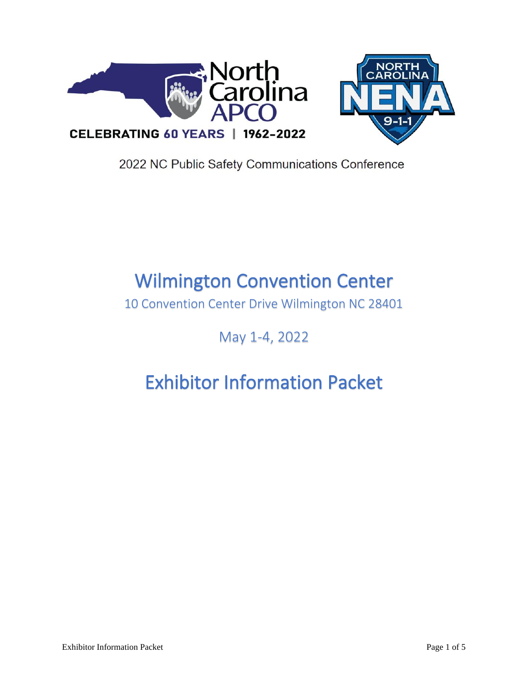



2022 NC Public Safety Communications Conference

## Wilmington Convention Center

10 Convention Center Drive Wilmington NC 28401

May 1-4, 2022

# Exhibitor Information Packet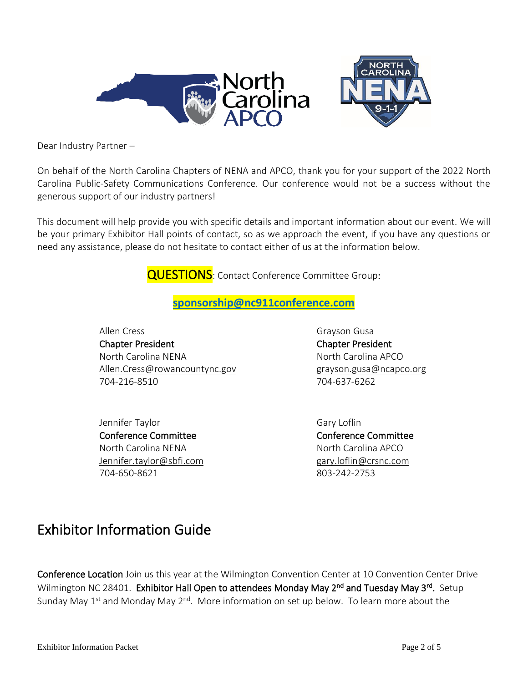

Dear Industry Partner –

On behalf of the North Carolina Chapters of NENA and APCO, thank you for your support of the 2022 North Carolina Public-Safety Communications Conference. Our conference would not be a success without the generous support of our industry partners!

This document will help provide you with specific details and important information about our event. We will be your primary Exhibitor Hall points of contact, so as we approach the event, if you have any questions or need any assistance, please do not hesitate to contact either of us at the information below.

**QUESTIONS**: Contact Conference Committee Group:

### **[sponsorship@nc911conference.com](mailto:sponsorship@nc911conference.com)**

Allen Cress **Grayson Gusa** Chapter President Chapter President North Carolina NENA North Carolina APCO [Allen.Cress@rowancountync.gov](mailto:Allen.Cress@rowancountync.gov) example are grayson.gusa@ncapco.org 704-216-8510 704-637-6262

Jennifer Taylor Gary Loflin Conference Committee Conference Committee North Carolina NENA North Carolina APCO Jennifer.taylor@sbfi.com gary.loflin@crsnc.com 704-650-8621 803-242-2753

### Exhibitor Information Guide

Conference Location Join us this year at the Wilmington Convention Center at 10 Convention Center Drive Wilmington NC 28401. Exhibitor Hall Open to attendees Monday May 2<sup>nd</sup> and Tuesday May 3<sup>rd</sup>. Setup Sunday May  $1^{st}$  and Monday May  $2^{nd}$ . More information on set up below. To learn more about the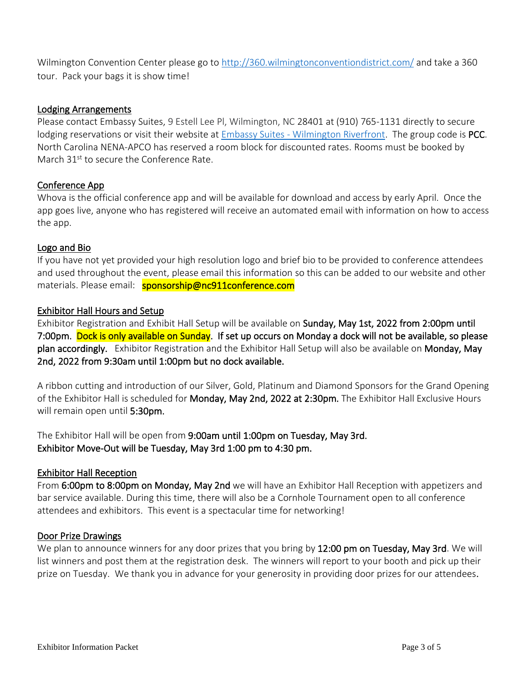Wilmington Convention Center please go to<http://360.wilmingtonconventiondistrict.com/> and take a 360 tour. Pack your bags it is show time!

#### Lodging Arrangements

Please contact Embassy Suites, 9 Estell Lee Pl, Wilmington, NC 28401 at [\(910\) 765-1131](https://www.google.com/search?q=embassy+suites+wilmington+nc&rlz=1C1GCEV_en&sxsrf=APq-WBtHsv_dClE3uXPKIyKsWCHsXnwROw%3A1643825968662&ei=MMv6YbHaJ9u4qtsPvNCLwA8&gs_ssp=eJzj4tVP1zc0TDY3jS8qSi42YLRSNaiwsExMNExLSrO0SLNIM000tzKoSLY0NLAws0hLsjAxSDZMSfGSSc1NSiwurlQoLs0sSS1WKM_Myc3MSy_Jz1PISwYAKEQa6A&oq=EMBASSY+SUITES+WIL&gs_lcp=Cgdnd3Mtd2l6EAEYADILCC4QgAQQxwEQrwEyCwguEIAEEMcBEK8BMgsILhCABBDHARCvATILCC4QgAQQxwEQrwEyBQgAEIAEMgsILhCABBDHARCvATIFCAAQgAQyCwguEIAEEMcBEK8BMgUIABCABDIFCAAQgAQ6BQgAEJECOhEILhCABBCxAxCDARDHARDRAzoOCC4QgAQQsQMQxwEQ0QM6CwguEIAEELEDEIMBOggILhCABBCxAzoLCAAQgAQQsQMQgwE6CgguELEDEIMBEEM6BAguEEM6CAgAEIAEELEDOgQIABBDOgoILhDHARCvARBDOgsIABCABBCxAxDJAzoFCAAQkgM6CAgAEIAEEMkDOhEILhCABBCxAxCDARDHARCvAUoECEEYAEoECEYYAFAAWNNZYIZyaABwAHgAgAG-AogBiheSAQgxLjE1LjEuMZgBAKABAcABAQ&sclient=gws-wiz) directly to secure lodging reservations or visit their website at Embassy Suites - [Wilmington Riverfront.](https://www.hilton.com/en/book/reservation/rooms/?ctyhocn=ILMCCES&arrivalDate=2022-05-01&departureDate=2022-05-05&room1NumAdults=1&cid=OM%2CWW%2CHILTONLINK%2CEN%2CDirectLink) The group code is PCC. North Carolina NENA-APCO has reserved a room block for discounted rates. Rooms must be booked by March 31<sup>st</sup> to secure the Conference Rate.

#### Conference App

Whova is the official conference app and will be available for download and access by early April. Once the app goes live, anyone who has registered will receive an automated email with information on how to access the app.

#### Logo and Bio

If you have not yet provided your high resolution logo and brief bio to be provided to conference attendees and used throughout the event, please email this information so this can be added to our website and other materials. Please email: sponsorship@nc911conference.com

#### Exhibitor Hall Hours and Setup

Exhibitor Registration and Exhibit Hall Setup will be available on Sunday, May 1st, 2022 from 2:00pm until 7:00pm. Dock is only available on Sunday. If set up occurs on Monday a dock will not be available, so please plan accordingly. Exhibitor Registration and the Exhibitor Hall Setup will also be available on Monday, May 2nd, 2022 from 9:30am until 1:00pm but no dock available.

A ribbon cutting and introduction of our Silver, Gold, Platinum and Diamond Sponsors for the Grand Opening of the Exhibitor Hall is scheduled for **Monday, May 2nd, 2022 at 2:30pm.** The Exhibitor Hall Exclusive Hours will remain open until 5:30pm.

The Exhibitor Hall will be open from 9:00am until 1:00pm on Tuesday, May 3rd. Exhibitor Move-Out will be Tuesday, May 3rd 1:00 pm to 4:30 pm.

#### Exhibitor Hall Reception

From 6:00pm to 8:00pm on Monday, May 2nd we will have an Exhibitor Hall Reception with appetizers and bar service available. During this time, there will also be a Cornhole Tournament open to all conference attendees and exhibitors. This event is a spectacular time for networking!

#### Door Prize Drawings

We plan to announce winners for any door prizes that you bring by 12:00 pm on Tuesday, May 3rd. We will list winners and post them at the registration desk. The winners will report to your booth and pick up their prize on Tuesday. We thank you in advance for your generosity in providing door prizes for our attendees.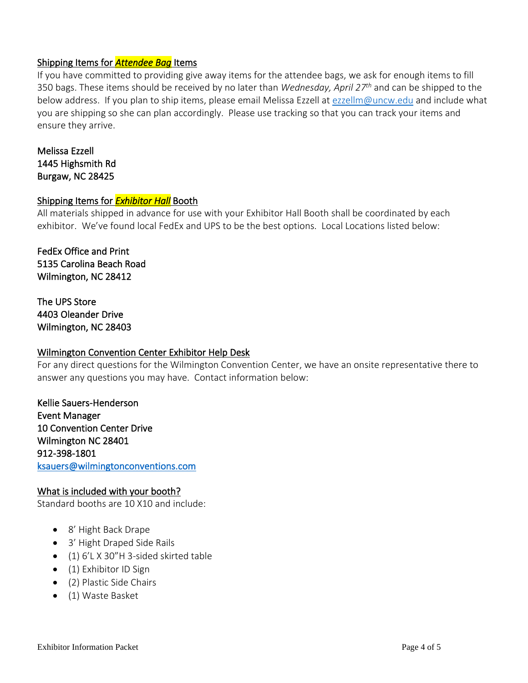#### Shipping Items for *Attendee Bag* Items

If you have committed to providing give away items for the attendee bags, we ask for enough items to fill 350 bags. These items should be received by no later than *Wednesday, April 27th* and can be shipped to the below address. If you plan to ship items, please email Melissa Ezzell at [ezzellm@uncw.edu](mailto:ezzellm@uncw.edu) and include what you are shipping so she can plan accordingly. Please use tracking so that you can track your items and ensure they arrive.

Melissa Ezzell 1445 Highsmith Rd Burgaw, NC 28425

#### Shipping Items for *Exhibitor Hall* Booth

All materials shipped in advance for use with your Exhibitor Hall Booth shall be coordinated by each exhibitor. We've found local FedEx and UPS to be the best options. Local Locations listed below:

FedEx Office and Print 5135 Carolina Beach Road Wilmington, NC 28412

The UPS Store 4403 Oleander Drive Wilmington, NC 28403

#### Wilmington Convention Center Exhibitor Help Desk

For any direct questions for the Wilmington Convention Center, we have an onsite representative there to answer any questions you may have. Contact information below:

Kellie Sauers-Henderson Event Manager 10 Convention Center Drive Wilmington NC 28401 912-398-1801 [ksauers@wilmingtonconventions.com](mailto:ksauers@wilmingtonconventions.com) 

#### What is included with your booth?

Standard booths are 10 X10 and include:

- 8' Hight Back Drape
- 3' Hight Draped Side Rails
- (1) 6'L X 30"H 3-sided skirted table
- (1) Exhibitor ID Sign
- (2) Plastic Side Chairs
- (1) Waste Basket